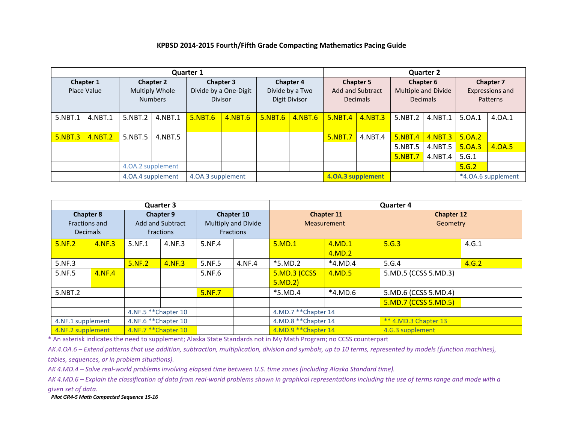## **KPBSD 2014-2015 Fourth/Fifth Grade Compacting Mathematics Pacing Guide**

| <b>Quarter 1</b>         |         |                                                      |         |                                                             |         |                                                      |         | <b>Quarter 2</b>                                        |         |                                                            |         |                                                        |        |
|--------------------------|---------|------------------------------------------------------|---------|-------------------------------------------------------------|---------|------------------------------------------------------|---------|---------------------------------------------------------|---------|------------------------------------------------------------|---------|--------------------------------------------------------|--------|
| Chapter 1<br>Place Value |         | <b>Chapter 2</b><br>Multiply Whole<br><b>Numbers</b> |         | <b>Chapter 3</b><br>Divide by a One-Digit<br><b>Divisor</b> |         | <b>Chapter 4</b><br>Divide by a Two<br>Digit Divisor |         | <b>Chapter 5</b><br>Add and Subtract<br><b>Decimals</b> |         | <b>Chapter 6</b><br>Multiple and Divide<br><b>Decimals</b> |         | <b>Chapter 7</b><br><b>Expressions and</b><br>Patterns |        |
| 5.NBT.1                  | 4.NBT.1 | 5.NBT.2                                              | 4.NBT.1 | 5.NBT.6                                                     | 4.NBT.6 | 5.NBT.6                                              | 4.NBT.6 | $5.$ NBT $.4$                                           | 4.NBT.3 | 5.NBT.2                                                    | 4.NBT.1 | 5.0A.1                                                 | 4.0A.1 |
| 5.NBT.3                  | 4.NBT.2 | 5.NBT.5                                              | 4.NBT.5 |                                                             |         |                                                      |         | 5.NBT.7                                                 | 4.NBT.4 | 5.NBT.4                                                    | 4.NBT.3 | 5.0A.2                                                 |        |
|                          |         |                                                      |         |                                                             |         |                                                      |         |                                                         |         | 5.NBT.5                                                    | 4.NBT.5 | 5.0A.3                                                 | 4.0A.5 |
|                          |         |                                                      |         |                                                             |         |                                                      |         |                                                         |         | <b>5.NBT.7</b>                                             | 4.NBT.4 | 5.G.1                                                  |        |
|                          |         | 4.0A.2 supplement                                    |         |                                                             |         |                                                      |         |                                                         |         |                                                            |         | 5.G.2                                                  |        |
|                          |         | 4.0A.4 supplement                                    |         | 4.0A.3 supplement                                           |         |                                                      |         | 4.0A.3 supplement                                       |         |                                                            |         | *4.0A.6 supplement                                     |        |

|                                                      |        |                                                          | <b>Quarter 3</b> |                                                       |        | <b>Quarter 4</b>                |                                  |                               |       |  |  |
|------------------------------------------------------|--------|----------------------------------------------------------|------------------|-------------------------------------------------------|--------|---------------------------------|----------------------------------|-------------------------------|-------|--|--|
| <b>Chapter 8</b><br>Fractions and<br><b>Decimals</b> |        | <b>Chapter 9</b><br>Add and Subtract<br><b>Fractions</b> |                  | Chapter 10<br>Multiply and Divide<br><b>Fractions</b> |        |                                 | Chapter 11<br><b>Measurement</b> | <b>Chapter 12</b><br>Geometry |       |  |  |
| 5.NF.2                                               | 4.NF.3 | 5.NF.1                                                   | 4.NF.3           | 5.NF.4                                                |        | 5.MD.1                          | 4.MD.1<br>4.MD.2                 | 5.G.3                         | 4.G.1 |  |  |
| 5.NF.3                                               |        | 5.NF.2                                                   | 4.NF.3           | 5.NF.5                                                | 4.NF.4 | *5.MD.2                         | $*4.MD.4$                        | 5.G.4                         | 4.G.2 |  |  |
| 5.NF.5                                               | 4.NF.4 |                                                          |                  | 5.NF.6                                                |        | <b>5.MD.3 (CCSS)</b><br>5.MD.2) | 4.MD.5                           | 5.MD.5 (CCSS 5.MD.3)          |       |  |  |
| 5.NBT.2                                              |        |                                                          |                  | 5.NF.7                                                |        | *5.MD.4                         | $*4.MD.6$                        | 5.MD.6 (CCSS 5.MD.4)          |       |  |  |
|                                                      |        |                                                          |                  |                                                       |        |                                 |                                  | 5.MD.7 (CCSS 5.MD.5)          |       |  |  |
|                                                      |        | 4.NF.5 ** Chapter 10                                     |                  |                                                       |        | 4.MD.7 ** Chapter 14            |                                  |                               |       |  |  |
| 4.NF.1 supplement                                    |        | 4.NF.6 ** Chapter 10                                     |                  |                                                       |        | 4.MD.8 ** Chapter 14            |                                  | ** 4.MD.3 Chapter 13          |       |  |  |
| 4.NF.2 supplement                                    |        | 4.NF.7 ** Chapter 10                                     |                  |                                                       |        | 4.MD.9 ** Chapter 14            |                                  | 4.G.3 supplement              |       |  |  |

\* An asterisk indicates the need to supplement; Alaska State Standards not in My Math Program; no CCSS counterpart

*AK.4.OA.6 – Extend patterns that use addition, subtraction, multiplication, division and symbols, up to 10 terms, represented by models (function machines), tables, sequences, or in problem situations).*

*AK 4.MD.4 – Solve real-world problems involving elapsed time between U.S. time zones (including Alaska Standard time).*

*AK 4.MD.6 – Explain the classification of data from real-world problems shown in graphical representations including the use of terms range and mode with a given set of data.*

*Pilot GR4-5 Math Compacted Sequence 15-16*